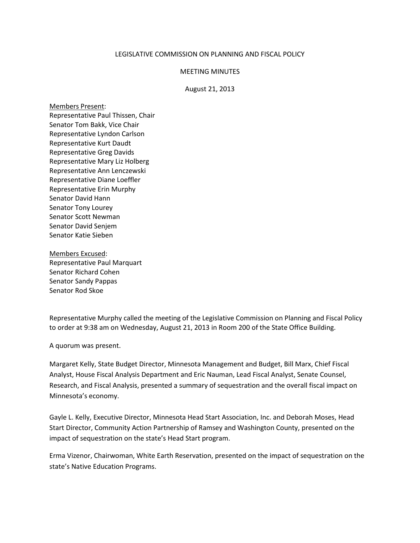## LEGISLATIVE COMMISSION ON PLANNING AND FISCAL POLICY

## MEETING MINUTES

## August 21, 2013

Members Present: Representative Paul Thissen, Chair Senator Tom Bakk, Vice Chair Representative Lyndon Carlson Representative Kurt Daudt Representative Greg Davids Representative Mary Liz Holberg Representative Ann Lenczewski Representative Diane Loeffler Representative Erin Murphy Senator David Hann Senator Tony Lourey Senator Scott Newman Senator David Senjem Senator Katie Sieben

Members Excused: Representative Paul Marquart Senator Richard Cohen Senator Sandy Pappas Senator Rod Skoe

Representative Murphy called the meeting of the Legislative Commission on Planning and Fiscal Policy to order at 9:38 am on Wednesday, August 21, 2013 in Room 200 of the State Office Building.

A quorum was present.

Margaret Kelly, State Budget Director, Minnesota Management and Budget, Bill Marx, Chief Fiscal Analyst, House Fiscal Analysis Department and Eric Nauman, Lead Fiscal Analyst, Senate Counsel, Research, and Fiscal Analysis, presented a summary of sequestration and the overall fiscal impact on Minnesota's economy.

Gayle L. Kelly, Executive Director, Minnesota Head Start Association, Inc. and Deborah Moses, Head Start Director, Community Action Partnership of Ramsey and Washington County, presented on the impact of sequestration on the state's Head Start program.

Erma Vizenor, Chairwoman, White Earth Reservation, presented on the impact of sequestration on the state's Native Education Programs.